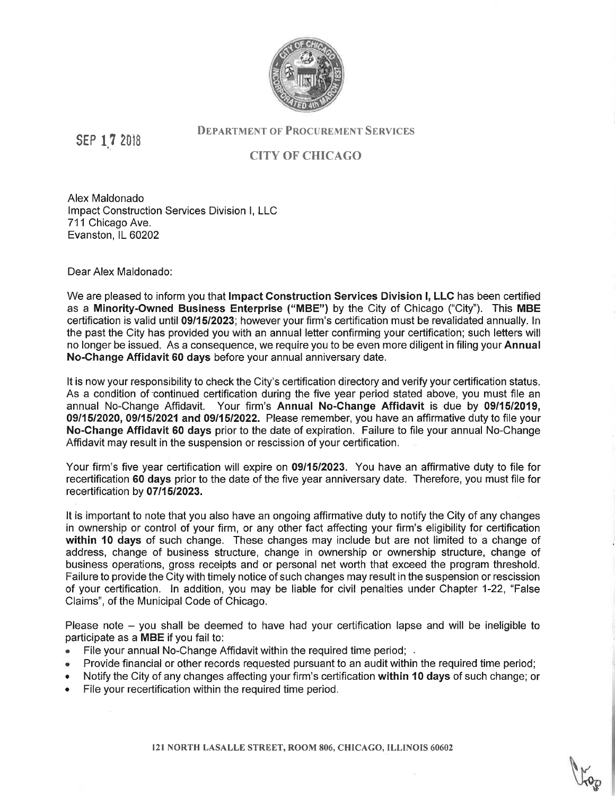

SEP 17 2018

## **DEPARTMENT OF PROCUREMENT SERVICES**

## CITY OF CHICAGO

Alex Maldonado lmpact Construction Services Division l, LLC 711 Chicago Ave. Evanston, IL 60202

Dear Alex Maldonado:

We are pleased to inform you that Impact Construction Services Division I, LLC has been certified as a Minority-Owned Business Enterprise ("MBE") by the City of Chicago ("City"). This MBE certification is valid until 09/15/2023; however your firm's certification must be revalidated annually. ln the past the City has provided you with an annual letter confirming your certification; such letters will no longer be issued. As a consequence, we require you to be even more diligent in filing your Annual No-Change Affidavit 60 days before your annual anniversary date.

It is now your responsibility to check the City's certification directory and verify your certification status. As a condition of continued certification during the five year period stated above, you must file an annual No-Change Affidavit. Your firm's Annual No-Change Affidavit is due by 0911512019, 09/15/2020, 09/15/2021 and 09/15/2022. Please remember, you have an affirmative duty to file your No-Change Affidavit 60 days prior to the date of expiration. Failure to file your annual No-Change Affidavit may result in the suspension or rescission of your certification.

Your firm's five year certification will expire on 09/15/2023. You have an affirmative duty to file for recertification 60 days prior to the date of the five year anniversary date. Therefore, you must file for recertification by 07/15/2023.

It is important to note that you also have an ongoing affirmative duty to notify the City of any changes in ownership or control of your firm, or any other fact affecting your firm's eligibility for certification within 10 days of such change. These changes may include but are not limited to a change of address, change of business structure, change in ownership or ownership structure, change of business operations, gross receipts and or personal net worth that exceed the program threshold. Failure to provide the City with timely notice of such changes may result in the suspension or rescission of your certification. ln addition, you may be liable for civil penalties under Chapter 1-22, "False Claims", of the Municipal Code of Chicago.

Please note - you shall be deemed to have had your certification lapse and will be ineligible to participate as a MBE if you fail to:

- File your annual No-Change Affidavit within the required time period; .
- Provide financial or other records requested pursuant to an audit within the required time period;
- Notify the City of any changes affecting your firm's certification within 10 days of such change; or
- . File your recertification within the required time period,

121 NORTH LASALLE STREET, ROOM 806, CHICAGO, ILLINOIS 60602